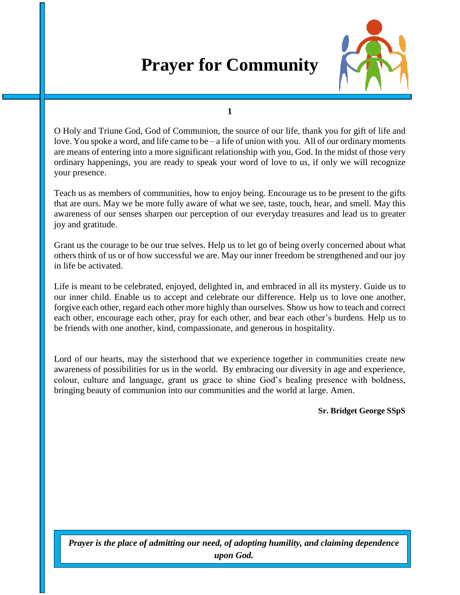## **Prayer for Community**



**1**

O Holy and Triune God, God of Communion, the source of our life, thank you for gift of life and love. You spoke a word, and life came to be – a life of union with you. All of our ordinary moments are means of entering into a more significant relationship with you, God. In the midst of those very ordinary happenings, you are ready to speak your word of love to us, if only we will recognize your presence.

Teach us as members of communities, how to enjoy being. Encourage us to be present to the gifts that are ours. May we be more fully aware of what we see, taste, touch, hear, and smell. May this awareness of our senses sharpen our perception of our everyday treasures and lead us to greater joy and gratitude.

Grant us the courage to be our true selves. Help us to let go of being overly concerned about what others think of us or of how successful we are. May our inner freedom be strengthened and our joy in life be activated.

Life is meant to be celebrated, enjoyed, delighted in, and embraced in all its mystery. Guide us to our inner child. Enable us to accept and celebrate our difference. Help us to love one another, forgive each other, regard each other more highly than ourselves. Show us how to teach and correct each other, encourage each other, pray for each other, and bear each other's burdens. Help us to be friends with one another, kind, compassionate, and generous in hospitality.

Lord of our hearts, may the sisterhood that we experience together in communities create new awareness of possibilities for us in the world. By embracing our diversity in age and experience, colour, culture and language, grant us grace to shine God's healing presence with boldness, bringing beauty of communion into our communities and the world at large. Amen.

 **Sr. Bridget George SSpS**

*Prayer is the place of admitting our need, of adopting humility, and claiming dependence upon God.*